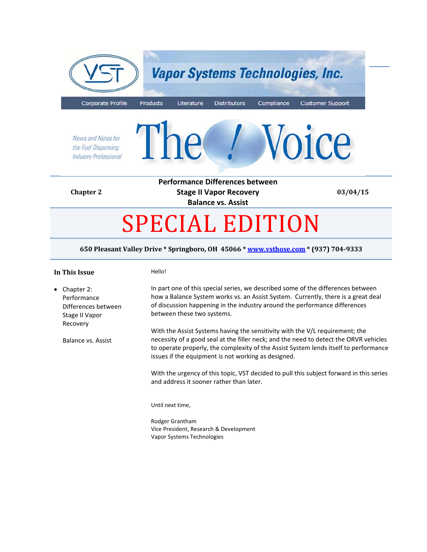

#### **650 Pleasant Valley Drive \* Springboro, OH 45066 \* www.vsthose.com \* (937) 704‐9333**

## **In This Issue** Hello!

• Chapter 2: Performance Differences between Stage II Vapor Recovery Balance vs. Assist In part one of this special series, we described some of the differences between how a Balance System works vs. an Assist System. Currently, there is a great deal of discussion happening in the industry around the performance differences between these two systems. With the Assist Systems having the sensitivity with the V/L requirement; the necessity of a good seal at the filler neck; and the need to detect the ORVR vehicles to operate properly, the complexity of the Assist System lends itself to performance issues if the equipment is not working as designed. With the urgency of this topic, VST decided to pull this subject forward in this series and address it sooner rather than later. Until next time,

Rodger Grantham Vice President, Research & Development Vapor Systems Technologies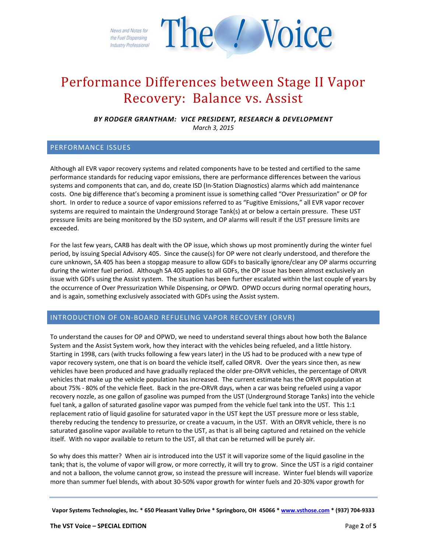The *Voice* News and Notes for the Fuel Dispensing **Industry Professional** 

# Performance Differences between Stage II Vapor Recovery: Balance vs. Assist

*BY RODGER GRANTHAM: VICE PRESIDENT, RESEARCH & DEVELOPMENT March 3, 2015*

## PERFORMANCE ISSUES

Although all EVR vapor recovery systems and related components have to be tested and certified to the same performance standards for reducing vapor emissions, there are performance differences between the various systems and components that can, and do, create ISD (In‐Station Diagnostics) alarms which add maintenance costs. One big difference that's becoming a prominent issue is something called "Over Pressurization" or OP for short. In order to reduce a source of vapor emissions referred to as "Fugitive Emissions," all EVR vapor recover systems are required to maintain the Underground Storage Tank(s) at or below a certain pressure. These UST pressure limits are being monitored by the ISD system, and OP alarms will result if the UST pressure limits are exceeded.

For the last few years, CARB has dealt with the OP issue, which shows up most prominently during the winter fuel period, by issuing Special Advisory 405. Since the cause(s) for OP were not clearly understood, and therefore the cure unknown, SA 405 has been a stopgap measure to allow GDFs to basically ignore/clear any OP alarms occurring during the winter fuel period. Although SA 405 applies to all GDFs, the OP issue has been almost exclusively an issue with GDFs using the Assist system. The situation has been further escalated within the last couple of years by the occurrence of Over Pressurization While Dispensing, or OPWD. OPWD occurs during normal operating hours, and is again, something exclusively associated with GDFs using the Assist system.

### INTRODUCTION OF ON‐BOARD REFUELING VAPOR RECOVERY (ORVR)

To understand the causes for OP and OPWD, we need to understand several things about how both the Balance System and the Assist System work, how they interact with the vehicles being refueled, and a little history. Starting in 1998, cars (with trucks following a few years later) in the US had to be produced with a new type of vapor recovery system, one that is on board the vehicle itself, called ORVR. Over the years since then, as new vehicles have been produced and have gradually replaced the older pre‐ORVR vehicles, the percentage of ORVR vehicles that make up the vehicle population has increased. The current estimate has the ORVR population at about 75% ‐ 80% of the vehicle fleet. Back in the pre‐ORVR days, when a car was being refueled using a vapor recovery nozzle, as one gallon of gasoline was pumped from the UST (Underground Storage Tanks) into the vehicle fuel tank, a gallon of saturated gasoline vapor was pumped from the vehicle fuel tank into the UST. This 1:1 replacement ratio of liquid gasoline for saturated vapor in the UST kept the UST pressure more or less stable, thereby reducing the tendency to pressurize, or create a vacuum, in the UST. With an ORVR vehicle, there is no saturated gasoline vapor available to return to the UST, as that is all being captured and retained on the vehicle itself. With no vapor available to return to the UST, all that can be returned will be purely air.

So why does this matter? When air is introduced into the UST it will vaporize some of the liquid gasoline in the tank; that is, the volume of vapor will grow, or more correctly, it will try to grow. Since the UST is a rigid container and not a balloon, the volume cannot grow, so instead the pressure will increase. Winter fuel blends will vaporize more than summer fuel blends, with about 30‐50% vapor growth for winter fuels and 20‐30% vapor growth for

Vapor Systems Technologies, Inc. \* 650 Pleasant Valley Drive \* Springboro, OH 45066 \* www.vsthose.com \* (937) 704-9333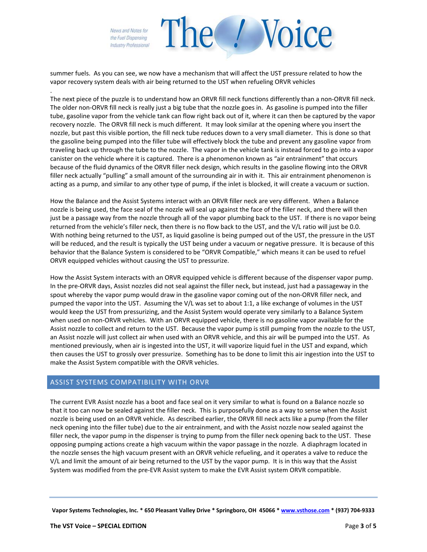News and Notes for the Fuel Dispensing **Industry Professional** 

.

summer fuels. As you can see, we now have a mechanism that will affect the UST pressure related to how the vapor recovery system deals with air being returned to the UST when refueling ORVR vehicles

/ Voice

The next piece of the puzzle is to understand how an ORVR fill neck functions differently than a non-ORVR fill neck. The older non-ORVR fill neck is really just a big tube that the nozzle goes in. As gasoline is pumped into the filler tube, gasoline vapor from the vehicle tank can flow right back out of it, where it can then be captured by the vapor recovery nozzle. The ORVR fill neck is much different. It may look similar at the opening where you insert the nozzle, but past this visible portion, the fill neck tube reduces down to a very small diameter. This is done so that the gasoline being pumped into the filler tube will effectively block the tube and prevent any gasoline vapor from traveling back up through the tube to the nozzle. The vapor in the vehicle tank is instead forced to go into a vapor canister on the vehicle where it is captured. There is a phenomenon known as "air entrainment" that occurs because of the fluid dynamics of the ORVR filler neck design, which results in the gasoline flowing into the ORVR filler neck actually "pulling" a small amount of the surrounding air in with it. This air entrainment phenomenon is acting as a pump, and similar to any other type of pump, if the inlet is blocked, it will create a vacuum or suction.

How the Balance and the Assist Systems interact with an ORVR filler neck are very different. When a Balance nozzle is being used, the face seal of the nozzle will seal up against the face of the filler neck, and there will then just be a passage way from the nozzle through all of the vapor plumbing back to the UST. If there is no vapor being returned from the vehicle's filler neck, then there is no flow back to the UST, and the V/L ratio will just be 0.0. With nothing being returned to the UST, as liquid gasoline is being pumped out of the UST, the pressure in the UST will be reduced, and the result is typically the UST being under a vacuum or negative pressure. It is because of this behavior that the Balance System is considered to be "ORVR Compatible," which means it can be used to refuel ORVR equipped vehicles without causing the UST to pressurize.

How the Assist System interacts with an ORVR equipped vehicle is different because of the dispenser vapor pump. In the pre‐ORVR days, Assist nozzles did not seal against the filler neck, but instead, just had a passageway in the spout whereby the vapor pump would draw in the gasoline vapor coming out of the non-ORVR filler neck, and pumped the vapor into the UST. Assuming the V/L was set to about 1:1, a like exchange of volumes in the UST would keep the UST from pressurizing, and the Assist System would operate very similarly to a Balance System when used on non-ORVR vehicles. With an ORVR equipped vehicle, there is no gasoline vapor available for the Assist nozzle to collect and return to the UST. Because the vapor pump is still pumping from the nozzle to the UST, an Assist nozzle will just collect air when used with an ORVR vehicle, and this air will be pumped into the UST. As mentioned previously, when air is ingested into the UST, it will vaporize liquid fuel in the UST and expand, which then causes the UST to grossly over pressurize. Something has to be done to limit this air ingestion into the UST to make the Assist System compatible with the ORVR vehicles.

### ASSIST SYSTEMS COMPATIBILITY WITH ORVR

The current EVR Assist nozzle has a boot and face seal on it very similar to what is found on a Balance nozzle so that it too can now be sealed against the filler neck. This is purposefully done as a way to sense when the Assist nozzle is being used on an ORVR vehicle. As described earlier, the ORVR fill neck acts like a pump (from the filler neck opening into the filler tube) due to the air entrainment, and with the Assist nozzle now sealed against the filler neck, the vapor pump in the dispenser is trying to pump from the filler neck opening back to the UST. These opposing pumping actions create a high vacuum within the vapor passage in the nozzle. A diaphragm located in the nozzle senses the high vacuum present with an ORVR vehicle refueling, and it operates a valve to reduce the V/L and limit the amount of air being returned to the UST by the vapor pump. It is in this way that the Assist System was modified from the pre‐EVR Assist system to make the EVR Assist system ORVR compatible.

Vapor Systems Technologies, Inc. \* 650 Pleasant Valley Drive \* Springboro, OH 45066 \* www.vsthose.com \* (937) 704-9333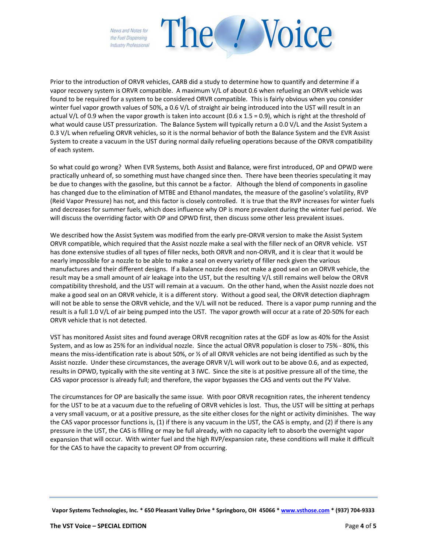News and Notes for the Fuel Dispensing **Industry Professional** 



Prior to the introduction of ORVR vehicles, CARB did a study to determine how to quantify and determine if a vapor recovery system is ORVR compatible. A maximum V/L of about 0.6 when refueling an ORVR vehicle was found to be required for a system to be considered ORVR compatible. This is fairly obvious when you consider winter fuel vapor growth values of 50%, a 0.6 V/L of straight air being introduced into the UST will result in an actual V/L of 0.9 when the vapor growth is taken into account  $(0.6 \times 1.5 = 0.9)$ , which is right at the threshold of what would cause UST pressurization. The Balance System will typically return a 0.0 V/L and the Assist System a 0.3 V/L when refueling ORVR vehicles, so it is the normal behavior of both the Balance System and the EVR Assist System to create a vacuum in the UST during normal daily refueling operations because of the ORVR compatibility of each system.

So what could go wrong? When EVR Systems, both Assist and Balance, were first introduced, OP and OPWD were practically unheard of, so something must have changed since then. There have been theories speculating it may be due to changes with the gasoline, but this cannot be a factor. Although the blend of components in gasoline has changed due to the elimination of MTBE and Ethanol mandates, the measure of the gasoline's volatility, RVP (Reid Vapor Pressure) has not, and this factor is closely controlled. It is true that the RVP increases for winter fuels and decreases for summer fuels, which does influence why OP is more prevalent during the winter fuel period. We will discuss the overriding factor with OP and OPWD first, then discuss some other less prevalent issues.

We described how the Assist System was modified from the early pre-ORVR version to make the Assist System ORVR compatible, which required that the Assist nozzle make a seal with the filler neck of an ORVR vehicle. VST has done extensive studies of all types of filler necks, both ORVR and non-ORVR, and it is clear that it would be nearly impossible for a nozzle to be able to make a seal on every variety of filler neck given the various manufactures and their different designs. If a Balance nozzle does not make a good seal on an ORVR vehicle, the result may be a small amount of air leakage into the UST, but the resulting V/L still remains well below the ORVR compatibility threshold, and the UST will remain at a vacuum. On the other hand, when the Assist nozzle does not make a good seal on an ORVR vehicle, it is a different story. Without a good seal, the ORVR detection diaphragm will not be able to sense the ORVR vehicle, and the V/L will not be reduced. There is a vapor pump running and the result is a full 1.0 V/L of air being pumped into the UST. The vapor growth will occur at a rate of 20‐50% for each ORVR vehicle that is not detected.

VST has monitored Assist sites and found average ORVR recognition rates at the GDF as low as 40% for the Assist System, and as low as 25% for an individual nozzle. Since the actual ORVR population is closer to 75% ‐ 80%, this means the miss-identification rate is about 50%, or ½ of all ORVR vehicles are not being identified as such by the Assist nozzle. Under these circumstances, the average ORVR V/L will work out to be above 0.6, and as expected, results in OPWD, typically with the site venting at 3 IWC. Since the site is at positive pressure all of the time, the CAS vapor processor is already full; and therefore, the vapor bypasses the CAS and vents out the PV Valve.

The circumstances for OP are basically the same issue. With poor ORVR recognition rates, the inherent tendency for the UST to be at a vacuum due to the refueling of ORVR vehicles is lost. Thus, the UST will be sitting at perhaps a very small vacuum, or at a positive pressure, as the site either closes for the night or activity diminishes. The way the CAS vapor processor functions is, (1) if there is any vacuum in the UST, the CAS is empty, and (2) if there is any pressure in the UST, the CAS is filling or may be full already, with no capacity left to absorb the overnight vapor expansion that will occur. With winter fuel and the high RVP/expansion rate, these conditions will make it difficult for the CAS to have the capacity to prevent OP from occurring.

Vapor Systems Technologies, Inc. \* 650 Pleasant Valley Drive \* Springboro, OH 45066 \* www.vsthose.com \* (937) 704-9333